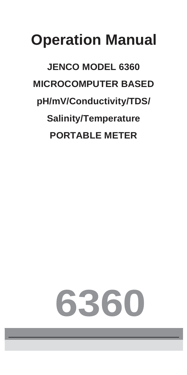# **Operation Manual**

**JENCO MODEL 6360 MICROCOMPUTER BASED pH/mV/Conductivity/TDS/ Salinity/Temperature PORTABLE METER** 

# **6360**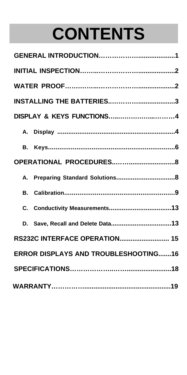# **CONTENTS**

| DISPLAY & KEYS FUNCTIONS4                   |  |  |  |
|---------------------------------------------|--|--|--|
|                                             |  |  |  |
| В.                                          |  |  |  |
|                                             |  |  |  |
|                                             |  |  |  |
| В.                                          |  |  |  |
| C.                                          |  |  |  |
| Save, Recall and Delete Data13<br>D.        |  |  |  |
| <b>RS232C INTERFACE OPERATION 15</b>        |  |  |  |
| <b>ERROR DISPLAYS AND TROUBLESHOOTING16</b> |  |  |  |
|                                             |  |  |  |
|                                             |  |  |  |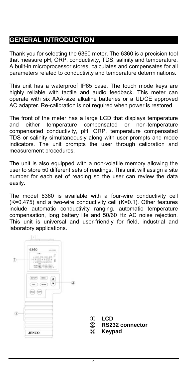# **GENERAL INTRODUCTION**

Thank you for selecting the 6360 meter. The 6360 is a precision tool that measure pH, ORP, conductivity, TDS, salinity and temperature. A built-in microprocessor stores, calculates and compensates for all parameters related to conductivity and temperature determinations.

This unit has a waterproof IP65 case. The touch mode keys are highly reliable with tactile and audio feedback. This meter can operate with six AAA-size alkaline batteries or a UL/CE approved AC adapter. Re-calibration is not required when power is restored.

The front of the meter has a large LCD that displays temperature and either temperature compensated or non-temperature compensated conductivity, pH, ORP, temperature compensated TDS or salinity simultaneously along with user prompts and mode indicators. The unit prompts the user through calibration and measurement procedures.

The unit is also equipped with a non-volatile memory allowing the user to store 50 different sets of readings. This unit will assign a site number for each set of reading so the user can review the data easily.

The model 6360 is available with a four-wire conductivity cell (K=0.475) and a two-wire conductivity cell (K=0.1). Other features include automatic conductivity ranging, automatic temperature compensation, long battery life and 50/60 Hz AC noise rejection. This unit is universal and user-friendly for field, industrial and laboratory applications.

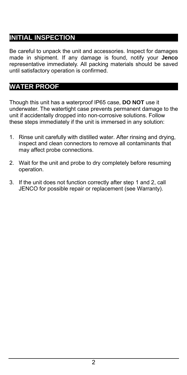# **INITIAL INSPECTION**

Be careful to unpack the unit and accessories. Inspect for damages made in shipment. If any damage is found, notify your **Jenco** representative immediately. All packing materials should be saved until satisfactory operation is confirmed.

## **WATER PROOF**

Though this unit has a waterproof IP65 case, **DO NOT** use it underwater. The watertight case prevents permanent damage to the unit if accidentally dropped into non-corrosive solutions. Follow these steps immediately if the unit is immersed in any solution:

- 1. Rinse unit carefully with distilled water. After rinsing and drying, inspect and clean connectors to remove all contaminants that may affect probe connections.
- 2. Wait for the unit and probe to dry completely before resuming operation.
- 3. If the unit does not function correctly after step 1 and 2, call JENCO for possible repair or replacement (see Warranty).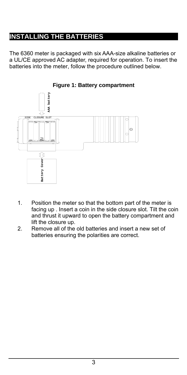# **INSTALLING THE BATTERIES**

The 6360 meter is packaged with six AAA-size alkaline batteries or a UL/CE approved AC adapter, required for operation. To insert the batteries into the meter, follow the procedure outlined below.



#### **Figure 1: Battery compartment**

- 1. Position the meter so that the bottom part of the meter is facing up . Insert a coin in the side closure slot. Tilt the coin and thrust it upward to open the battery compartment and lift the closure up.
- 2. Remove all of the old batteries and insert a new set of batteries ensuring the polarities are correct.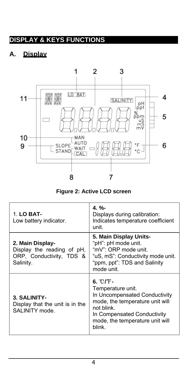# **DISPLAY & KEYS FUNCTIONS**

# **A. Display**



**Figure 2: Active LCD screen** 

| 1. LO BAT-<br>Low battery indicator.                                                    | $4. \%$<br>Displays during calibration:<br>Indicates temperature coefficient<br>unit.                                                                                                        |
|-----------------------------------------------------------------------------------------|----------------------------------------------------------------------------------------------------------------------------------------------------------------------------------------------|
| 2. Main Display-<br>Display the reading of pH.<br>ORP, Conductivity, TDS &<br>Salinity. | 5. Main Display Units-<br>"pH": pH mode unit.<br>"mV": ORP mode unit.<br>"uS. mS": Conductivity mode unit.<br>"ppm, ppt": TDS and Salinity<br>mode unit.                                     |
| 3. SALINITY-<br>Display that the unit is in the<br>SAI INITY mode.                      | $6.~C/F-$<br>Temperature unit.<br>In Uncompensated Conductivity<br>mode, the temperature unit will<br>not blink.<br>In Compensated Conductivity<br>mode, the temperature unit will<br>blink. |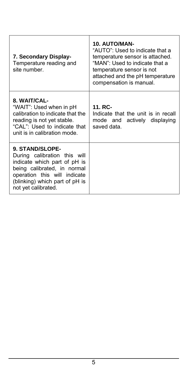| 7. Secondary Display-<br>Temperature reading and<br>site number.                                                                                                                                        | 10. AUTO/MAN-<br>"AUTO". Used to indicate that a<br>temperature sensor is attached.<br>"MAN": Used to indicate that a<br>temperature sensor is not<br>attached and the pH temperature<br>compensation is manual. |
|---------------------------------------------------------------------------------------------------------------------------------------------------------------------------------------------------------|------------------------------------------------------------------------------------------------------------------------------------------------------------------------------------------------------------------|
| 8. WAIT/CAL-<br>"WAIT": Used when in pH<br>calibration to indicate that the<br>reading is not yet stable.<br>"CAL": Used to indicate that<br>unit is in calibration mode.                               | 11. RC-<br>Indicate that the unit is in recall<br>mode and actively displaying<br>saved data.                                                                                                                    |
| 9. STAND/SLOPE-<br>During calibration this will<br>indicate which part of pH is<br>being calibrated, in normal<br>operation this will indicate<br>(blinking) which part of pH is<br>not yet calibrated. |                                                                                                                                                                                                                  |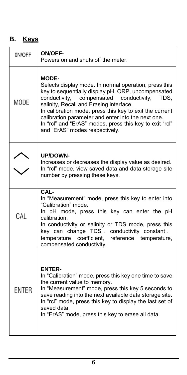# **B. Keys**

| 0N/OFF       | <b>ON/OFF-</b><br>Powers on and shuts off the meter.                                                                                                                                                                                                                                                                                                                                                                                    |  |
|--------------|-----------------------------------------------------------------------------------------------------------------------------------------------------------------------------------------------------------------------------------------------------------------------------------------------------------------------------------------------------------------------------------------------------------------------------------------|--|
| <b>MODE</b>  | <b>MODE-</b><br>Selects display mode. In normal operation, press this<br>key to sequentially display pH, ORP, uncompensated<br>conductivity, compensated conductivity,<br>TDS,<br>salinity, Recall and Erasing interface.<br>In calibration mode, press this key to exit the current<br>calibration parameter and enter into the next one.<br>In "rcl" and "ErAS" modes, press this key to exit "rcl"<br>and "ErAS" modes respectively. |  |
|              | <b>UP/DOWN-</b><br>Increases or decreases the display value as desired.<br>In "rcl" mode, view saved data and data storage site<br>number by pressing these keys.                                                                                                                                                                                                                                                                       |  |
| CAL          | CAL-<br>In "Measurement" mode, press this key to enter into<br>"Calibration" mode.<br>In pH mode, press this key can enter the pH<br>calibration.<br>In conductivity or salinity or TDS mode, press this<br>key can change TDS, conductivity constant,<br>coefficient, reference temperature,<br>temperature<br>compensated conductivity.                                                                                               |  |
| <b>ENTER</b> | <b>ENTER-</b><br>In "Calibration" mode, press this key one time to save<br>the current value to memory.<br>In "Measurement" mode, press this key 5 seconds to<br>save reading into the next available data storage site.<br>In "rcl" mode, press this key to display the last set of<br>saved data.<br>In "ErAS" mode, press this key to erase all data.                                                                                |  |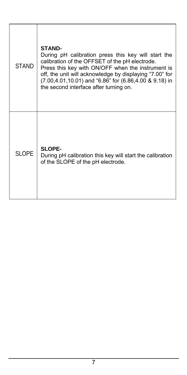| <b>STAND</b> | <b>STAND-</b><br>During pH calibration press this key will start the<br>calibration of the OFFSET of the pH electrode.<br>Press this key with ON/OFF when the instrument is<br>off, the unit will acknowledge by displaying "7.00" for<br>(7.00,4.01,10.01) and "6.86" for (6.86,4.00 & 9.18) in<br>the second interface after turning on. |
|--------------|--------------------------------------------------------------------------------------------------------------------------------------------------------------------------------------------------------------------------------------------------------------------------------------------------------------------------------------------|
| <b>SLOPE</b> | SLOPE-<br>During pH calibration this key will start the calibration<br>of the SLOPE of the pH electrode.                                                                                                                                                                                                                                   |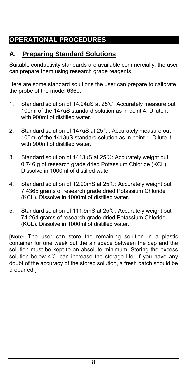# **OPERATIONAL PROCEDURES**

# **A. Preparing Standard Solutions**

Suitable conductivity standards are available commercially, the user can prepare them using research grade reagents.

Here are some standard solutions the user can prepare to calibrate the probe of the model 6360.

- 1. Standard solution of 14.94uS at 25℃: Accurately measure out 100ml of the 147uS standard solution as in point 4. Dilute it with 900ml of distilled water.
- 2. Standard solution of 147uS at 25℃: Accurately measure out 100ml of the 1413uS standard solution as in point 1. Dilute it with 900ml of distilled water.
- 3. Standard solution of 1413uS at 25℃: Accurately weight out 0.746 g of research grade dried Potassium Chloride (KCL). Dissolve in 1000ml of distilled water.
- 4. Standard solution of 12.90mS at 25℃: Accurately weight out 7.4365 grams of research grade dried Potassium Chloride (KCL). Dissolve in 1000ml of distilled water.
- 5. Standard solution of 111.9mS at 25℃: Accurately weight out 74.264 grams of research grade dried Potassium Chloride (KCL). Dissolve in 1000ml of distilled water.

**[Note:** The user can store the remaining solution in a plastic container for one week but the air space between the cap and the solution must be kept to an absolute minimum. Storing the excess solution below 4℃ can increase the storage life. If you have any doubt of the accuracy of the stored solution, a fresh batch should be prepar ed.**]**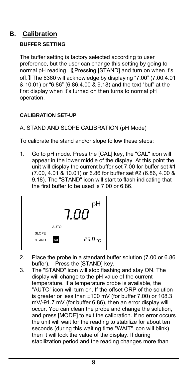# **B. Calibration**

#### **BUFFER SETTING**

The buffer setting is factory selected according to user preference, but the user can change this setting by going to normal pH reading 【Pressing [STAND] and turn on when it's off.】The 6360 will acknowledge by displaying "7.00" (7.00,4.01 & 10.01) or "6.86" (6.86,4.00 & 9.18) and the text "buf" at the first display when it's turned on then turns to normal pH operation.

#### **CALIBRATION SET-UP**

#### A. STAND AND SLOPE CALIBRATION (pH Mode)

To calibrate the stand and/or slope follow these steps:

1. Go to pH mode. Press the [CAL] key, the "CAL" icon will appear in the lower middle of the display. At this point the unit will display the current buffer set 7.00 for buffer set #1 (7.00, 4.01 & 10.01) or 6.86 for buffer set #2 (6.86, 4.00 & 9.18). The "STAND" icon will start to flash indicating that the first buffer to be used is 7.00 or 6.86.



- 2. Place the probe in a standard buffer solution (7.00 or 6.86 buffer). Press the [STAND] key.
- 3. The "STAND" icon will stop flashing and stay ON. The display will change to the pH value of the current temperature. If a temperature probe is available, the "AUTO" icon will turn on. If the offset ORP of the solution is greater or less than ±100 mV (for buffer 7.00) or 108.3 mV/-91.7 mV (for buffer 6.86), then an error display will occur. You can clean the probe and change the solution, and press [MODE] to exit the calibration. If no error occurs the unit will wait for the reading to stabilize for about ten seconds (during this waiting time "WAIT" icon will blink) then it will lock the value of the display. If during stabilization period and the reading changes more than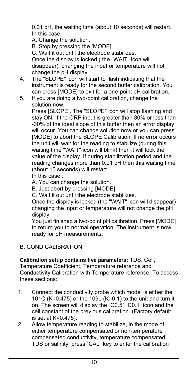0.01 pH, the waiting time (about 10 seconds) will restart. In this case:

A. Change the solution.

B. Stop by pressing the [MODE].

C. Wait it out until the electrode stabilizes. Once the display is locked ( the "WAIT" icon will disappear), changing the input or temperature will not

change the pH display.

- 4. The "SLOPE" icon will start to flash indicating that the instrument is ready for the second buffer calibration. You can press [MODE] to exit for a one-point pH calibration.
- 5. If you are doing a two-point calibration, change the solution now.

Press [SLOPE]. The "SLOPE" icon will stop flashing and stay ON. If the ORP input is greater than 30% or less than -30% of the ideal slope of this buffer then an error display will occur. You can change solution now or you can press [MODE] to abort the SLOPE Calibration. If no error occurs the unit will wait for the reading to stabilize (during this waiting time "WAIT" icon will blink) then it will lock the value of the display. If during stabilization period and the reading changes more than 0.01 pH then this waiting time (about 10 seconds) will restart .

In this case :

A. You can change the solution.

B. Just abort by pressing [MODE].

C. Wait it out until the electrode stabilizes.

Once the display is locked (the "WAIT" icon will disappear) changing the input or temperature will not change the pH display.

You just finished a two-point pH calibration. Press [MODE] to return you to normal operation. The instrument is now ready for pH measurements.

#### B. COND CALIBRATION

#### **Calibration setup contains five parameters:** TDS, Cell,

Temperature Coefficient, Temperature reference and Conductivity Calibration with Temperature reference. To access these sections:

- 1. Connect the conductivity probe which model is either the 101C (K=0.475) or the 109L (K=0.1) to the unit and turn it on. The screen will display the "C0.5" "C0.1" icon and the cell constant of the previous calibration. (Factory default is set at K=0.475).
- 2. Allow temperature reading to stabilize, in the mode of either temperature compensated or non-temperature compensated conductivity, temperature compensated TDS or salinity, press "CAL" key to enter the calibration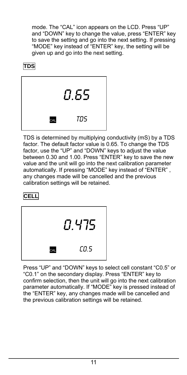mode. The "CAL" icon appears on the LCD. Press "UP" and "DOWN" key to change the value, press "ENTER" key to save the setting and go into the next setting. If pressing "MODE" key instead of "ENTER" key, the setting will be given up and go into the next setting.

# **TDS**



TDS is determined by multiplying conductivity (mS) by a TDS factor. The default factor value is 0.65. To change the TDS factor, use the "UP" and "DOWN" keys to adjust the value between 0.30 and 1.00. Press "ENTER" key to save the new value and the unit will go into the next calibration parameter automatically. If pressing "MODE" key instead of "ENTER" , any changes made will be cancelled and the previous calibration settings will be retained.

# **CELL**



Press "UP" and "DOWN" keys to select cell constant "C0.5" or "C0.1" on the secondary display. Press "ENTER" key to confirm selection, then the unit will go into the next calibration parameter automatically. If "MODE" key is pressed instead of the "ENTER" key, any changes made will be cancelled and the previous calibration settings will be retained.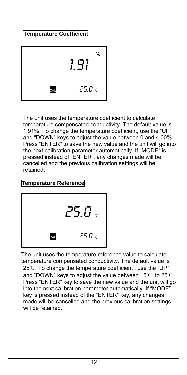#### **Temperature Coefficient**



The unit uses the temperature coefficient to calculate temperature compensated conductivity. The default value is 1.91%. To change the temperature coefficient, use the "UP" and "DOWN" keys to adjust the value between 0 and 4.00%. Press "ENTER" to save the new value and the unit will go into the next calibration parameter automatically. If "MODE" is pressed instead of "ENTER", any changes made will be cancelled and the previous calibration settings will be retained.

#### **Temperature Reference**



The unit uses the temperature reference value to calculate temperature compensated conductivity. The default value is 25℃. To change the temperature coefficient , use the "UP" and "DOWN" keys to adjust the value between 15℃ to 25℃. Press "ENTER" key to save the new value and the unit will go into the next calibration parameter automatically. If "MODE" key is pressed instead of the "ENTER" key, any changes made will be cancelled and the previous calibration settings will be retained.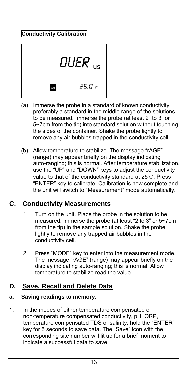### **Conductivity Calibration**



- (a) Immerse the probe in a standard of known conductivity, preferably a standard in the middle range of the solutions to be measured. Immerse the probe (at least 2" to 3" or 5~7cm from the tip) into standard solution without touching the sides of the container. Shake the probe lightly to remove any air bubbles trapped in the conductivity cell.
- (b) Allow temperature to stabilize. The message "rAGE" (range) may appear briefly on the display indicating auto-ranging; this is normal. After temperature stabilization, use the "UP" and "DOWN" keys to adjust the conductivity value to that of the conductivity standard at 25℃. Press "ENTER" key to calibrate. Calibration is now complete and the unit will switch to "Measurement" mode automatically.

# **C. Conductivity Measurements**

- 1. Turn on the unit. Place the probe in the solution to be measured. Immerse the probe (at least "2 to 3" or 5~7cm from the tip) in the sample solution. Shake the probe lightly to remove any trapped air bubbles in the conductivity cell.
- 2. Press "MODE" key to enter into the measurement mode. The message "rAGE" (range) may appear briefly on the display indicating auto-ranging; this is normal. Allow temperature to stabilize read the value.

### **D. Save, Recall and Delete Data**

#### **a. Saving readings to memory.**

1. In the modes of either temperature compensated or non-temperature compensated conductivity, pH, ORP, temperature compensated TDS or salinity, hold the "ENTER" key for 5 seconds to save data. The "Save" icon with the corresponding site number will lit up for a brief moment to indicate a successful data to save.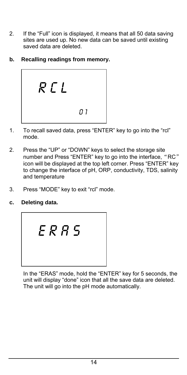- 2. If the "Full" icon is displayed, it means that all 50 data saving sites are used up. No new data can be saved until existing saved data are deleted.
- **b. Recalling readings from memory.**



- 1. To recall saved data, press "ENTER" key to go into the "rcl" mode.
- 2. Press the "UP" or "DOWN" keys to select the storage site number and Press "ENTER" key to go into the interface, "RC" icon will be displayed at the top left corner. Press "ENTER" key to change the interface of pH, ORP, conductivity, TDS, salinity and temperature
- 3. Press "MODE" key to exit "rcl" mode.
- **c. Deleting data.**



In the "ERAS" mode, hold the "ENTER" key for 5 seconds, the unit will display "done" icon that all the save data are deleted. The unit will go into the pH mode automatically.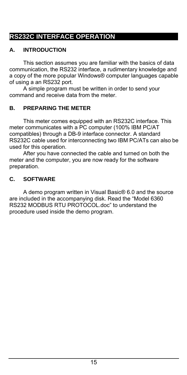# **RS232C INTERFACE OPERATION**

#### **A. INTRODUCTION**

This section assumes you are familiar with the basics of data communication, the RS232 interface, a rudimentary knowledge and a copy of the more popular Windows® computer languages capable of using a an RS232 port.

A simple program must be written in order to send your command and receive data from the meter.

#### **B. PREPARING THE METER**

This meter comes equipped with an RS232C interface. This meter communicates with a PC computer (100% IBM PC/AT compatibles) through a DB-9 interface connector. A standard RS232C cable used for interconnecting two IBM PC/ATs can also be used for this operation.

After you have connected the cable and turned on both the meter and the computer, you are now ready for the software preparation.

#### **C. SOFTWARE**

A demo program written in Visual Basic® 6.0 and the source are included in the accompanying disk. Read the "Model 6360 RS232 MODBUS RTU PROTOCOL.doc" to understand the procedure used inside the demo program.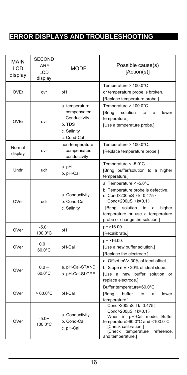# **ERROR DISPLAYS AND TROUBLESHOOTING**

| MAIN<br><b>LCD</b><br>display | <b>SECOND</b><br>-ARY<br><b>LCD</b><br>display | <b>MODE</b>                                                                           | Possible cause(s)<br>[Action(s)]                                                                                                                                                                                                                 |
|-------------------------------|------------------------------------------------|---------------------------------------------------------------------------------------|--------------------------------------------------------------------------------------------------------------------------------------------------------------------------------------------------------------------------------------------------|
| <b>OVEr</b>                   | ovr                                            | рH                                                                                    | Temperature $> 100.0^{\circ}$ C<br>or temperature probe is broken.<br>[Replace temperature probe.]                                                                                                                                               |
| OVEr                          | ovr                                            | a. temperature<br>compensated<br>Conductivity<br>b. TDS<br>c. Salinity<br>c. Cond-Cal | Temperature > 100.0°C.<br><b>[Bring</b><br>solution<br>lower<br>to<br>a<br>temperature.]<br>[Use a temperature probe.]                                                                                                                           |
| Normal<br>display             | ovr                                            | non-temperature<br>compensated<br>conductivity                                        | Temperature $> 100.0^{\circ}$ C.<br>[Replace temperature probe.]                                                                                                                                                                                 |
| Undr                          | udr                                            | a. pH<br>b. pH-Cal                                                                    | Temperature $< -5.0$ °C.<br>[Bring buffer/solution to a higher<br>temperature.]                                                                                                                                                                  |
| OVer                          | udr                                            | a. Conductivity<br>b. Cond-Cal<br>c. Salinity                                         | a. Temperature $< -5.0^{\circ}$ C<br>b. Temperature probe is defective.<br>c. Cond>200mS (k=0.475)<br>Cond>200µS (k=0.1)<br><b>[Bring</b><br>solution<br>to<br>higher<br>a<br>temperature or use a temperature<br>probe or change the solution.] |
| OVer                          | $-5.0-$<br>100.0°C                             | рH                                                                                    | pH>16.00.<br>[Recalibrate.]                                                                                                                                                                                                                      |
| OVer                          | $0.0 -$<br>60.0°C                              | pH-Cal                                                                                | pH>16.00.<br>[Use a new buffer solution.]<br>[Replace the electrode.]                                                                                                                                                                            |
| OVer                          | $0.0 -$<br>$60.0^{\circ}$ C                    | a. pH-Cal-STAND<br>b. pH-Cal-SLOPE                                                    | a. Offset mV> 30% of ideal offset.<br>b. Slope mV> 30% of ideal slope.<br>IUse a new buffer solution or<br>replace electrode.]                                                                                                                   |
| OVer                          | $> 60.0^{\circ}$ C                             | pH-Cal                                                                                | Buffer temperature>60.0°C.<br>buffer<br>[Bring<br>to<br>a<br>lower<br>temperature.]                                                                                                                                                              |
| OVer                          | $-5.0-$<br>$100.0^{\circ}$ C                   | a. Conductivity<br>b. Cond-Cal<br>c. pH-Cal                                           | Cond>200mS (k=0.475)<br>Cond>200µS (k=0.1)<br>When in pH-Cal mode, Buffer<br>temperature>60.0°C and <100.0°C<br>[Check calibration.]<br>[Check temperature reference,<br>and temperature.]                                                       |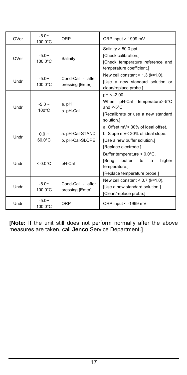| OVer | $-5.0-$<br>$100.0^{\circ}$ C   | ORP                                  | ORP input > 1999 mV                                                                                                                    |
|------|--------------------------------|--------------------------------------|----------------------------------------------------------------------------------------------------------------------------------------|
| OVer | $-5.0-$<br>$100.0^{\circ}$ C   | Salinity                             | Salinity $> 80.0$ ppt.<br>[Check calibration.]<br>[Check temperature reference and<br>temperature coefficient.]                        |
| Undr | $-5.0-$<br>$100.0$ °C          | Cond-Cal - after<br>pressing [Enter] | New cell constant $> 1.3$ (k=1.0).<br>[Use a new standard solution or<br>clean/replace probe.]                                         |
| Undr | $-5.0 \sim$<br>$100^{\circ}$ C | a. pH<br>b. pH-Cal                   | $pH < -2.00$ .<br>When pH-Cal temperature>-5°C<br>and $\leq 5^{\circ}$ C.<br>[Recalibrate or use a new standard<br>solution.]          |
| Undr | $00 -$<br>$60.0^{\circ}$ C     | a. pH-Cal-STAND<br>b. pH-Cal-SLOPE   | a. Offset mV< 30% of ideal offset.<br>b. Slope mV< 30% of ideal slope.<br>[Use a new buffer solution.]<br>[Replace electrode.]         |
| Undr | $< 0.0^{\circ}$ C              | pH-Cal                               | Buffer temperature $< 0.0^{\circ}$ C.<br><b>[Bring</b><br>buffer<br>higher<br>to<br>a<br>temperature.]<br>[Replace temperature probe.] |
| Undr | $-5.0-$<br>$100.0^{\circ}$ C   | Cond-Cal - after<br>pressing [Enter] | New cell constant $< 0.7$ (k=1.0).<br>[Use a new standard solution.]<br>[Clean/replace probe.]                                         |
| Undr | $-5.0$ ~<br>100.0°C            | ORP                                  | ORP input < -1999 mV                                                                                                                   |

**[Note:** If the unit still does not perform normally after the above measures are taken, call **Jenco** Service Department.**]**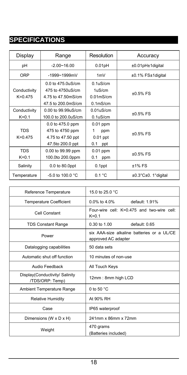# **SPECIFICATIONS**

| Display                     | Range                                                                             | Resolution                                                                  | Accuracy            |
|-----------------------------|-----------------------------------------------------------------------------------|-----------------------------------------------------------------------------|---------------------|
| pH                          | $-2.00 - 16.00$                                                                   | 0.01pH                                                                      | ±0.01pH±1digital    |
| ORP                         | $-1999 - 1999$ mV                                                                 | 1mV                                                                         | ±0.1% FS±1digital   |
| Conductivity<br>$K = 0.475$ | 0.0 to 475.0uS/cm<br>475 to 4750uS/cm<br>4.75 to 47.50mS/cm<br>47.5 to 200.0mS/cm | 0.1 <sub>u</sub> S/cm<br>1uS/cm<br>$0.01$ m $S/cm$<br>0.1 <sub>m</sub> S/cm | $±0.5%$ FS          |
| Conductivity<br>$K=0.1$     | 0.00 to 99.99uS/cm<br>100.0 to 200.0uS/cm                                         | 0.01 <sub>u</sub> S/cm<br>0.1 <sub>u</sub> S/cm                             | $±0.5\%$ FS         |
| <b>TDS</b><br>$K = 0.475$   | 0.0 to 475.0 ppm<br>475 to 4750 ppm<br>4.75 to 47.50 ppt<br>47.5to 200.0 ppt      | $0.01$ ppm<br>1<br>ppm<br>$0.01$ ppt<br>0.1<br>ppt                          | $±0.5%$ FS          |
| <b>TDS</b><br>$K=0.1$       | 0.00 to 99.99 ppm<br>100.0to 200.0ppm                                             | 0.01 ppm<br>0.1<br>ppm                                                      | $±0.5%$ FS          |
| Salinity                    | 0.0 to 80.0ppt                                                                    | 0.1ppt                                                                      | $±1\%$ FS           |
| Temperature                 | $-5.0$ to 100.0 °C                                                                | 0.1 °C                                                                      | ±0.3°C±0. 1°digital |

| Reference Temperature                            | 15.0 to 25.0 °C                                                   |  |
|--------------------------------------------------|-------------------------------------------------------------------|--|
| <b>Temperature Coefficient</b>                   | default: 1.91%<br>$0.0\%$ to 4.0%                                 |  |
| Cell Constant                                    | Four-wire cell: K=0.475 and two-wire cell:<br>$K=0.1$             |  |
| <b>TDS Constant Range</b>                        | default: 0.65<br>0.30 to 1.00                                     |  |
| Power                                            | six AAA-size alkaline batteries or a UL/CE<br>approved AC adapter |  |
| Datalogging capabilities                         | 50 data sets                                                      |  |
| Automatic shut off function                      | 10 minutes of non-use                                             |  |
| Audio Feedback                                   | All Touch Keys                                                    |  |
| Display(Conductivity/Salinity<br>/TDS/ORP: Temp) | 12mm: 8mm high LCD                                                |  |
| Ambient Temperature Range                        | 0 to 50 $°C$                                                      |  |
| <b>Relative Humidity</b>                         | At 90% RH                                                         |  |
| Case                                             | IP65 waterproof                                                   |  |
| Dimensions (W x D x H)                           | 241mm x 86mm x 72mm                                               |  |
| Weight                                           | 470 grams<br>(Batteries included)                                 |  |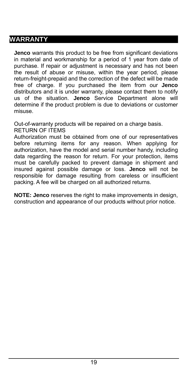# **WARRANTY**

**Jenco** warrants this product to be free from significant deviations in material and workmanship for a period of 1 year from date of purchase. If repair or adjustment is necessary and has not been the result of abuse or misuse, within the year period, please return-freight-prepaid and the correction of the defect will be made free of charge. If you purchased the item from our **Jenco** distributors and it is under warranty, please contact them to notify us of the situation. **Jenco** Service Department alone will determine if the product problem is due to deviations or customer misuse.

Out-of-warranty products will be repaired on a charge basis. RETURN OF ITEMS

Authorization must be obtained from one of our representatives before returning items for any reason. When applying for authorization, have the model and serial number handy, including data regarding the reason for return. For your protection, items must be carefully packed to prevent damage in shipment and insured against possible damage or loss. **Jenco** will not be responsible for damage resulting from careless or insufficient packing. A fee will be charged on all authorized returns.

**NOTE: Jenco** reserves the right to make improvements in design, construction and appearance of our products without prior notice.